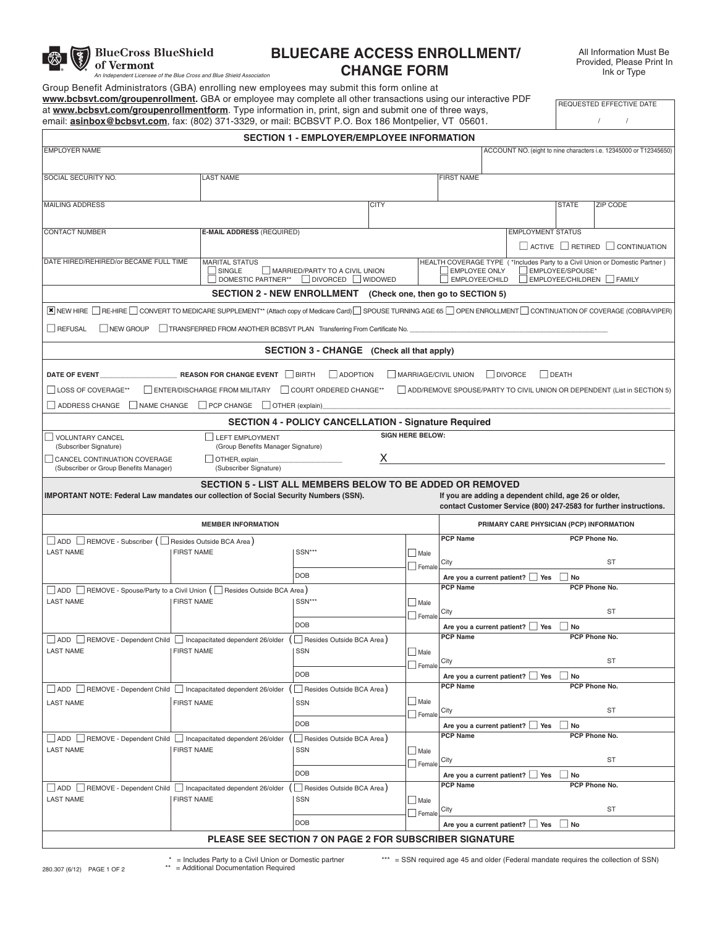

**BlueCross BlueShield** 

# **BLUECARE ACCESS ENROLLMENT/** *An Independent Licensee of the Blue Cross and Blue Shield Association* **CHANGE FORM**

All Information Must Be Provided, Please Print In Ink or Type

Group Benefit Administrators (GBA) enrolling new employees may submit this form online at **www.bcbsvt.com/groupenrollment.** GBA or employee may complete all other transactions using our interactive PDF at **www.bcbsvt.com/groupenrollmentform**. Type information in, print, sign and submit one of three ways, email: **asinbox@bcbsvt.com**, fax: (802) 371-3329, or mail: BCBSVT P.O. Box 186 Montpelier, VT 05601.

REQUESTED EFFECTIVE DATE / /

|                                                                                                                                                                               |                                                                        | <b>SECTION 1 - EMPLOYER/EMPLOYEE INFORMATION</b>                                                                                                                                                                                                  |             |                              |                                                                                                                            |                                                                   |              |                             |  |
|-------------------------------------------------------------------------------------------------------------------------------------------------------------------------------|------------------------------------------------------------------------|---------------------------------------------------------------------------------------------------------------------------------------------------------------------------------------------------------------------------------------------------|-------------|------------------------------|----------------------------------------------------------------------------------------------------------------------------|-------------------------------------------------------------------|--------------|-----------------------------|--|
| <b>EMPLOYER NAME</b>                                                                                                                                                          |                                                                        |                                                                                                                                                                                                                                                   |             |                              |                                                                                                                            | ACCOUNT NO. (eight to nine characters i.e. 12345000 or T12345650) |              |                             |  |
| SOCIAL SECURITY NO.                                                                                                                                                           | <b>LAST NAME</b>                                                       |                                                                                                                                                                                                                                                   |             |                              | <b>FIRST NAME</b>                                                                                                          |                                                                   |              |                             |  |
|                                                                                                                                                                               |                                                                        |                                                                                                                                                                                                                                                   |             |                              |                                                                                                                            |                                                                   |              |                             |  |
| <b>MAILING ADDRESS</b>                                                                                                                                                        |                                                                        |                                                                                                                                                                                                                                                   | <b>CITY</b> |                              |                                                                                                                            |                                                                   | <b>STATE</b> | <b>ZIP CODE</b>             |  |
|                                                                                                                                                                               |                                                                        |                                                                                                                                                                                                                                                   |             |                              |                                                                                                                            |                                                                   |              |                             |  |
| <b>CONTACT NUMBER</b>                                                                                                                                                         |                                                                        | <b>E-MAIL ADDRESS (REQUIRED)</b>                                                                                                                                                                                                                  |             |                              |                                                                                                                            | <b>EMPLOYMENT STATUS</b>                                          |              |                             |  |
|                                                                                                                                                                               |                                                                        |                                                                                                                                                                                                                                                   |             |                              |                                                                                                                            |                                                                   |              | ACTIVE RETIRED CONTINUATION |  |
| DATE HIRED/REHIRED/or BECAME FULL TIME                                                                                                                                        | <b>MARITAL STATUS</b><br>SINGLE                                        | HEALTH COVERAGE TYPE (*Includes Party to a Civil Union or Domestic Partner)<br>EMPLOYEE/SPOUSE*<br>MARRIED/PARTY TO A CIVIL UNION<br><b>EMPLOYEE ONLY</b><br>DIVORCED WIDOWED<br>EMPLOYEE/CHILDREN FAMILY<br>DOMESTIC PARTNER**<br>EMPLOYEE/CHILD |             |                              |                                                                                                                            |                                                                   |              |                             |  |
|                                                                                                                                                                               |                                                                        | SECTION 2 - NEW ENROLLMENT (Check one, then go to SECTION 5)                                                                                                                                                                                      |             |                              |                                                                                                                            |                                                                   |              |                             |  |
| E NEW HIRE ORE-HIRE OONVERT TO MEDICARE SUPPLEMENT <sup>**</sup> (Attach copy of Medicare Card) SPOUSE TURNING AGE 65 OPEN ENROLLMENT O CONTINUATION OF COVERAGE (COBRAVIPER) |                                                                        |                                                                                                                                                                                                                                                   |             |                              |                                                                                                                            |                                                                   |              |                             |  |
| REFUSAL<br>NEW GROUP                                                                                                                                                          | TRANSFERRED FROM ANOTHER BCBSVT PLAN Transferring From Certificate No. |                                                                                                                                                                                                                                                   |             |                              |                                                                                                                            |                                                                   |              |                             |  |
|                                                                                                                                                                               |                                                                        | SECTION 3 - CHANGE (Check all that apply)                                                                                                                                                                                                         |             |                              |                                                                                                                            |                                                                   |              |                             |  |
| DATE OF EVENT                                                                                                                                                                 | <b>REASON FOR CHANGE EVENT BIRTH</b>                                   | ADOPTION                                                                                                                                                                                                                                          |             |                              | MARRIAGE/CIVIL UNION<br><b>DIVORCE</b>                                                                                     |                                                                   | DEATH        |                             |  |
| LOSS OF COVERAGE**                                                                                                                                                            | <b>ENTER/DISCHARGE FROM MILITARY</b>                                   | COURT ORDERED CHANGE**                                                                                                                                                                                                                            |             |                              | ADD/REMOVE SPOUSE/PARTY TO CIVIL UNION OR DEPENDENT (List in SECTION 5)                                                    |                                                                   |              |                             |  |
| ADDRESS CHANGE                                                                                                                                                                | NAME CHANGE PCP CHANGE OTHER (explain)                                 |                                                                                                                                                                                                                                                   |             |                              |                                                                                                                            |                                                                   |              |                             |  |
|                                                                                                                                                                               |                                                                        |                                                                                                                                                                                                                                                   |             |                              |                                                                                                                            |                                                                   |              |                             |  |
| VOLUNTARY CANCEL                                                                                                                                                              | LEFT EMPLOYMENT                                                        | <b>SECTION 4 - POLICY CANCELLATION - Signature Required</b>                                                                                                                                                                                       |             | <b>SIGN HERE BELOW:</b>      |                                                                                                                            |                                                                   |              |                             |  |
| (Subscriber Signature)                                                                                                                                                        | (Group Benefits Manager Signature)                                     |                                                                                                                                                                                                                                                   |             |                              |                                                                                                                            |                                                                   |              |                             |  |
| CANCEL CONTINUATION COVERAGE<br>(Subscriber or Group Benefits Manager)                                                                                                        | OTHER, explain<br>(Subscriber Signature)                               |                                                                                                                                                                                                                                                   | х           |                              |                                                                                                                            |                                                                   |              |                             |  |
|                                                                                                                                                                               | <b>SECTION 5 - LIST ALL MEMBERS BELOW TO BE ADDED OR REMOVED</b>       |                                                                                                                                                                                                                                                   |             |                              |                                                                                                                            |                                                                   |              |                             |  |
| <b>IMPORTANT NOTE: Federal Law mandates our collection of Social Security Numbers (SSN).</b>                                                                                  |                                                                        |                                                                                                                                                                                                                                                   |             |                              | If you are adding a dependent child, age 26 or older,<br>contact Customer Service (800) 247-2583 for further instructions. |                                                                   |              |                             |  |
|                                                                                                                                                                               | <b>MEMBER INFORMATION</b>                                              |                                                                                                                                                                                                                                                   |             |                              |                                                                                                                            | PRIMARY CARE PHYSICIAN (PCP) INFORMATION                          |              |                             |  |
| ADD REMOVE - Subscriber (□ Resides Outside BCA Area)                                                                                                                          |                                                                        |                                                                                                                                                                                                                                                   |             |                              | <b>PCP Name</b>                                                                                                            |                                                                   |              | PCP Phone No.               |  |
| <b>LAST NAME</b>                                                                                                                                                              | <b>FIRST NAME</b>                                                      | SSN***                                                                                                                                                                                                                                            |             | $\Box$ Male                  |                                                                                                                            |                                                                   |              |                             |  |
|                                                                                                                                                                               |                                                                        |                                                                                                                                                                                                                                                   |             | Female                       | City                                                                                                                       |                                                                   |              | <b>ST</b>                   |  |
|                                                                                                                                                                               |                                                                        | <b>DOB</b>                                                                                                                                                                                                                                        |             |                              | Are you a current patient? Ves<br><b>PCP Name</b>                                                                          |                                                                   | No           | PCP Phone No.               |  |
| $\Box$ ADD $\Box$ REMOVE - Spouse/Party to a Civil Union ( $\Box$ Resides Outside BCA Area)<br><b>LAST NAME</b>                                                               | <b>FIRST NAME</b>                                                      | SSN***                                                                                                                                                                                                                                            |             | $\Box$ Male                  |                                                                                                                            |                                                                   |              |                             |  |
|                                                                                                                                                                               |                                                                        |                                                                                                                                                                                                                                                   |             | Female                       | City                                                                                                                       |                                                                   |              | <b>ST</b>                   |  |
|                                                                                                                                                                               |                                                                        | <b>DOB</b>                                                                                                                                                                                                                                        |             |                              | Are you a current patient?   Yes   No                                                                                      |                                                                   |              |                             |  |
| $\Box$ ADD $\Box$ REMOVE - Dependent Child $\Box$ Incapacitated dependent 26/older ( $\Box$ Resides Outside BCA Area)                                                         |                                                                        |                                                                                                                                                                                                                                                   |             |                              | <b>PCP Name</b>                                                                                                            |                                                                   |              | PCP Phone No.               |  |
| <b>LAST NAME</b>                                                                                                                                                              | <b>FIRST NAME</b>                                                      | SSN                                                                                                                                                                                                                                               |             | $\Box$ Male<br>$\Box$ Female | City                                                                                                                       |                                                                   |              | <b>ST</b>                   |  |
|                                                                                                                                                                               |                                                                        | <b>DOB</b>                                                                                                                                                                                                                                        |             |                              | Are you a current patient? Ves                                                                                             |                                                                   | $\vert$ No   |                             |  |
| ADD   REMOVE - Dependent Child   Incapacitated dependent 26/older                                                                                                             |                                                                        | ( □ Resides Outside BCA Area )                                                                                                                                                                                                                    |             |                              | <b>PCP Name</b>                                                                                                            |                                                                   |              | PCP Phone No.               |  |
| <b>LAST NAME</b>                                                                                                                                                              | <b>FIRST NAME</b>                                                      | SSN                                                                                                                                                                                                                                               |             | $\Box$ Male                  | City                                                                                                                       |                                                                   |              | ST                          |  |
|                                                                                                                                                                               |                                                                        | <b>DOB</b>                                                                                                                                                                                                                                        |             | $F$ emale                    | Are you a current patient?   Yes                                                                                           |                                                                   | $\Box$ No    |                             |  |
| ADD REMOVE - Dependent Child   Incapacitated dependent 26/older                                                                                                               |                                                                        | Resides Outside BCA Area)                                                                                                                                                                                                                         |             |                              | <b>PCP Name</b>                                                                                                            |                                                                   |              | PCP Phone No.               |  |
| <b>LAST NAME</b>                                                                                                                                                              | <b>FIRST NAME</b>                                                      | SSN                                                                                                                                                                                                                                               |             | $\Box$ Male                  |                                                                                                                            |                                                                   |              |                             |  |
|                                                                                                                                                                               |                                                                        |                                                                                                                                                                                                                                                   |             | Female                       | City                                                                                                                       |                                                                   |              | ST                          |  |
|                                                                                                                                                                               |                                                                        | <b>DOB</b>                                                                                                                                                                                                                                        |             |                              | Are you a current patient?   Yes   No<br><b>PCP Name</b>                                                                   |                                                                   |              | PCP Phone No.               |  |
| ADD REMOVE - Dependent Child Incapacitated dependent 26/older<br><b>LAST NAME</b>                                                                                             | <b>FIRST NAME</b>                                                      | ( Resides Outside BCA Area)<br>SSN                                                                                                                                                                                                                |             | $\Box$ Male                  |                                                                                                                            |                                                                   |              |                             |  |
|                                                                                                                                                                               |                                                                        |                                                                                                                                                                                                                                                   |             | $\Box$ Female                | City                                                                                                                       |                                                                   |              | ST                          |  |
|                                                                                                                                                                               |                                                                        |                                                                                                                                                                                                                                                   |             |                              |                                                                                                                            |                                                                   |              |                             |  |
|                                                                                                                                                                               |                                                                        | <b>DOB</b>                                                                                                                                                                                                                                        |             |                              | Are you a current patient?   Yes No                                                                                        |                                                                   |              |                             |  |

\* = Includes Party to a Civil Union or Domestic partner

\*\*\* = SSN required age 45 and older (Federal mandate requires the collection of SSN)